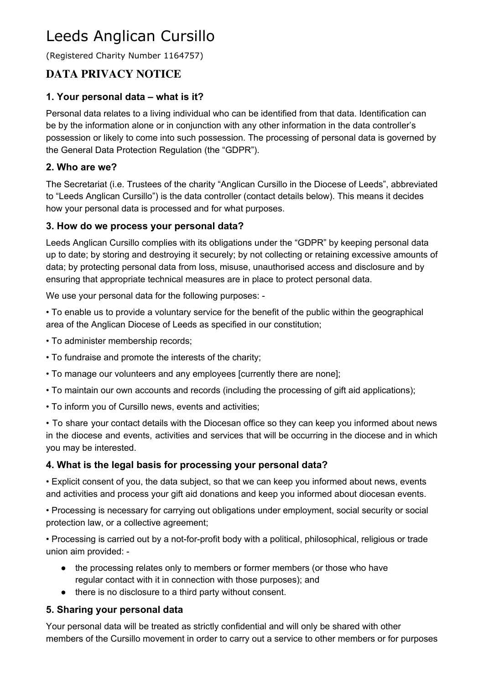# Leeds Anglican Cursillo

(Registered Charity Number 1164757)

# **DATA PRIVACY NOTICE**

#### **1. Your personal data – what is it?**

Personal data relates to a living individual who can be identified from that data. Identification can be by the information alone or in conjunction with any other information in the data controller's possession or likely to come into such possession. The processing of personal data is governed by the General Data Protection Regulation (the "GDPR").

#### **2. Who are we?**

The Secretariat (i.e. Trustees of the charity "Anglican Cursillo in the Diocese of Leeds", abbreviated to "Leeds Anglican Cursillo") is the data controller (contact details below). This means it decides how your personal data is processed and for what purposes.

#### **3. How do we process your personal data?**

Leeds Anglican Cursillo complies with its obligations under the "GDPR" by keeping personal data up to date; by storing and destroying it securely; by not collecting or retaining excessive amounts of data; by protecting personal data from loss, misuse, unauthorised access and disclosure and by ensuring that appropriate technical measures are in place to protect personal data.

We use your personal data for the following purposes: -

• To enable us to provide a voluntary service for the benefit of the public within the geographical area of the Anglican Diocese of Leeds as specified in our constitution;

- To administer membership records;
- To fundraise and promote the interests of the charity;
- To manage our volunteers and any employees [currently there are none];
- To maintain our own accounts and records (including the processing of gift aid applications);
- To inform you of Cursillo news, events and activities;

• To share your contact details with the Diocesan office so they can keep you informed about news in the diocese and events, activities and services that will be occurring in the diocese and in which you may be interested.

#### **4. What is the legal basis for processing your personal data?**

• Explicit consent of you, the data subject, so that we can keep you informed about news, events and activities and process your gift aid donations and keep you informed about diocesan events.

• Processing is necessary for carrying out obligations under employment, social security or social protection law, or a collective agreement;

• Processing is carried out by a not-for-profit body with a political, philosophical, religious or trade union aim provided: -

- the processing relates only to members or former members (or those who have regular contact with it in connection with those purposes); and
- there is no disclosure to a third party without consent.

#### **5. Sharing your personal data**

Your personal data will be treated as strictly confidential and will only be shared with other members of the Cursillo movement in order to carry out a service to other members or for purposes